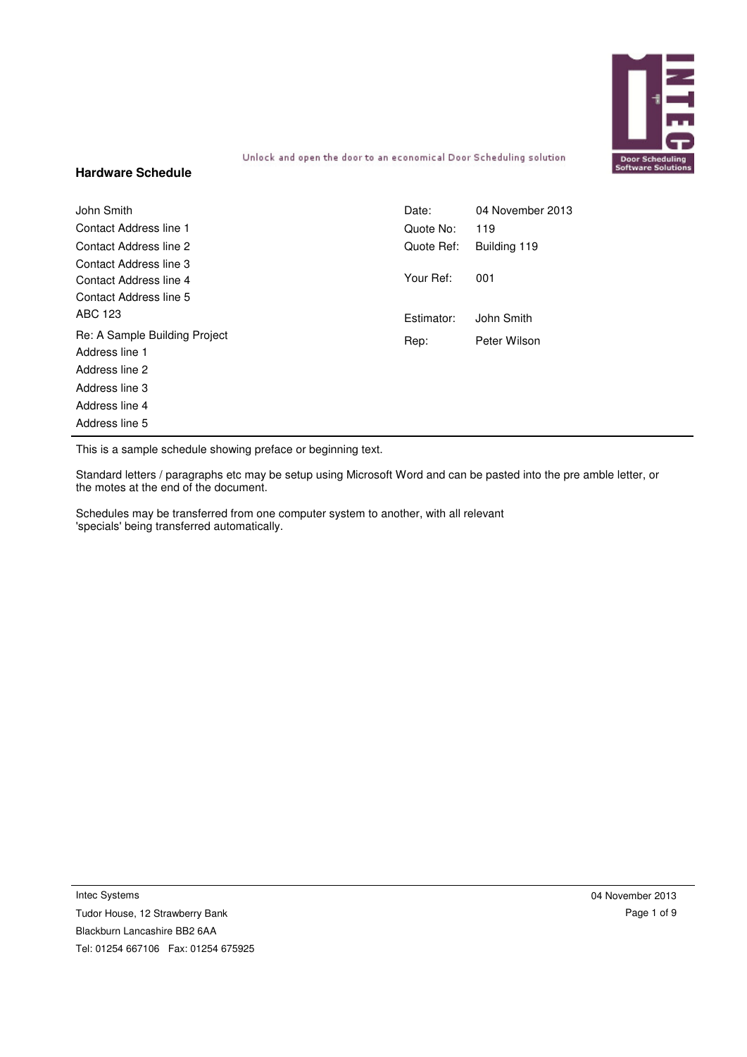

Unlock and open the door to an economical Door Scheduling solution

#### **Hardware Schedule**

| John Smith                                      | Date:      | 04 November 2013 |
|-------------------------------------------------|------------|------------------|
| Contact Address line 1                          | Quote No:  | 119              |
| Contact Address line 2                          | Quote Ref: | Building 119     |
| Contact Address line 3                          |            |                  |
| Contact Address line 4                          | Your Ref:  | 001              |
| Contact Address line 5                          |            |                  |
| ABC 123                                         | Estimator: | John Smith       |
| Re: A Sample Building Project<br>Address line 1 | Rep:       | Peter Wilson     |
| Address line 2                                  |            |                  |
| Address line 3                                  |            |                  |
| Address line 4                                  |            |                  |
| Address line 5                                  |            |                  |

This is a sample schedule showing preface or beginning text.

Standard letters / paragraphs etc may be setup using Microsoft Word and can be pasted into the pre amble letter, or the motes at the end of the document.

Schedules may be transferred from one computer system to another, with all relevant 'specials' being transferred automatically.

Intec Systems

Tudor House, 12 Strawberry Bank Blackburn Lancashire BB2 6AA Tel: 01254 667106 Fax: 01254 675925 04 November 2013 Page 1 of 9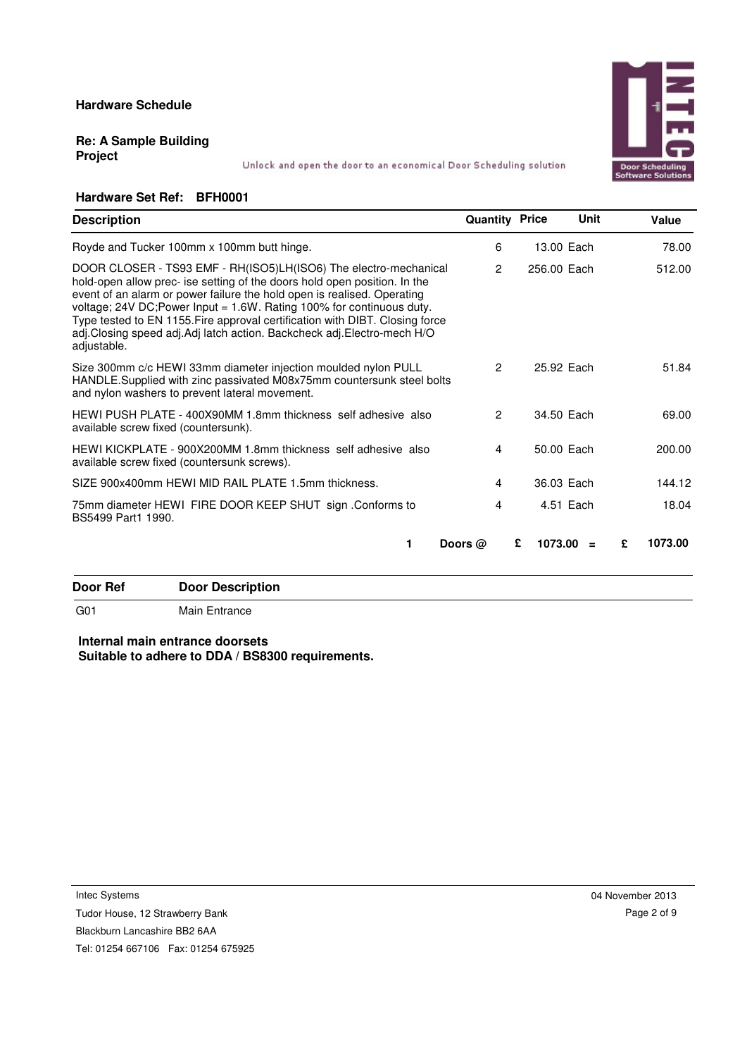# **Re: A Sample Building**

**Project**

Unlock and open the door to an economical Door Scheduling solution



#### **Hardware Set Ref: BFH0001**

| <b>Description</b>                                                                                                                                                                                                                                                                                                                                                                                                                                                              | <b>Quantity Price</b> |              | <b>Unit</b> |   | Value   |
|---------------------------------------------------------------------------------------------------------------------------------------------------------------------------------------------------------------------------------------------------------------------------------------------------------------------------------------------------------------------------------------------------------------------------------------------------------------------------------|-----------------------|--------------|-------------|---|---------|
| Royde and Tucker 100mm x 100mm butt hinge.                                                                                                                                                                                                                                                                                                                                                                                                                                      | 6                     | 13.00 Each   |             |   | 78.00   |
| DOOR CLOSER - TS93 EMF - RH(ISO5)LH(ISO6) The electro-mechanical<br>hold-open allow prec- ise setting of the doors hold open position. In the<br>event of an alarm or power failure the hold open is realised. Operating<br>voltage; $24V$ DC; Power Input = 1.6W. Rating 100% for continuous duty.<br>Type tested to EN 1155. Fire approval certification with DIBT. Closing force<br>adj. Closing speed adj. Adj latch action. Backcheck adj. Electro-mech H/O<br>adjustable. | $\overline{2}$        | 256.00 Each  |             |   | 512.00  |
| Size 300mm c/c HEWI 33mm diameter injection moulded nylon PULL<br>HANDLE.Supplied with zinc passivated M08x75mm countersunk steel bolts<br>and nylon washers to prevent lateral movement.                                                                                                                                                                                                                                                                                       | $\overline{2}$        | 25.92 Each   |             |   | 51.84   |
| HEWI PUSH PLATE - 400X90MM 1.8mm thickness self adhesive also<br>available screw fixed (countersunk).                                                                                                                                                                                                                                                                                                                                                                           | $\overline{2}$        | 34.50 Each   |             |   | 69.00   |
| HEWI KICKPLATE - 900X200MM 1.8mm thickness self adhesive also<br>available screw fixed (countersunk screws).                                                                                                                                                                                                                                                                                                                                                                    | 4                     | 50.00 Each   |             |   | 200.00  |
| SIZE 900x400mm HEWI MID RAIL PLATE 1.5mm thickness.                                                                                                                                                                                                                                                                                                                                                                                                                             | 4                     | 36.03 Each   |             |   | 144.12  |
| 75mm diameter HEWI FIRE DOOR KEEP SHUT sign .Conforms to<br>BS5499 Part1 1990.                                                                                                                                                                                                                                                                                                                                                                                                  | 4                     |              | 4.51 Each   |   | 18.04   |
| 1                                                                                                                                                                                                                                                                                                                                                                                                                                                                               | Doors $@$             | £<br>1073.00 | $\equiv$    | £ | 1073.00 |

**Door Ref Door Description** 

G01 Main Entrance

**Internal main entrance doorsets Suitable to adhere to DDA / BS8300 requirements.**

Intec Systems

Tudor House, 12 Strawberry Bank

Blackburn Lancashire BB2 6AA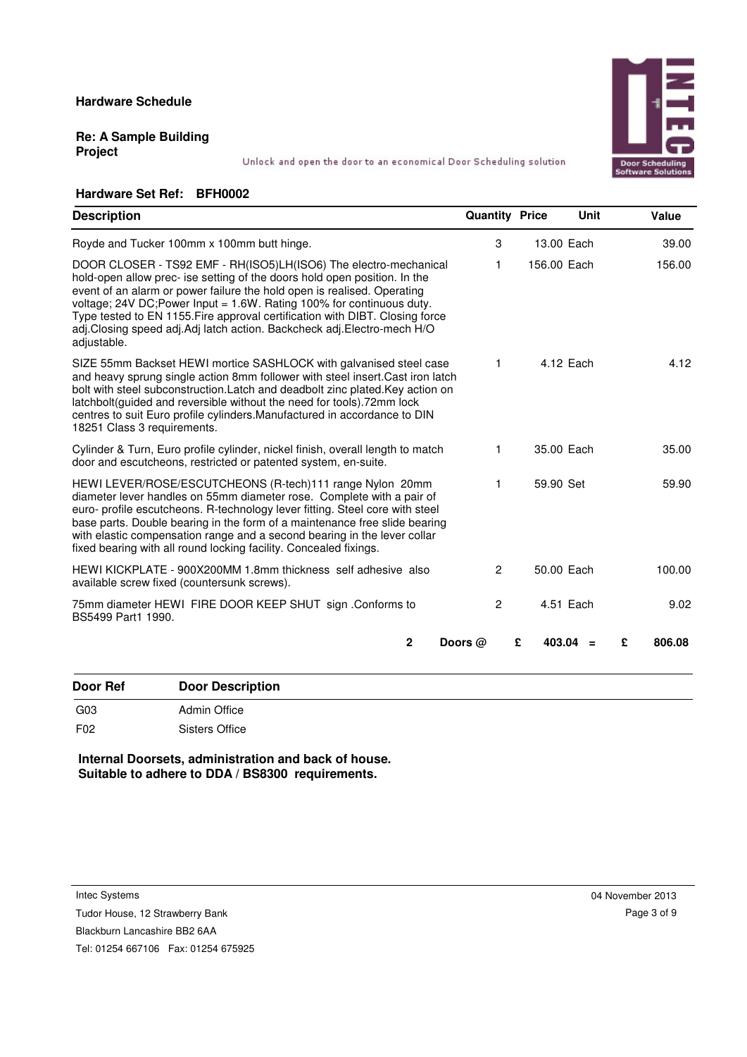# Door Scheduli<br>Software Soluti

# **Re: A Sample Building Project**

Unlock and open the door to an economical Door Scheduling solution

## **Hardware Set Ref: BFH0002**

| <b>Description</b>                                                                                                                                                                                                                                                                                                                                                                                                                                                        | <b>Quantity Price</b> |             | <b>Unit</b> |   | Value  |
|---------------------------------------------------------------------------------------------------------------------------------------------------------------------------------------------------------------------------------------------------------------------------------------------------------------------------------------------------------------------------------------------------------------------------------------------------------------------------|-----------------------|-------------|-------------|---|--------|
| Royde and Tucker 100mm x 100mm butt hinge.                                                                                                                                                                                                                                                                                                                                                                                                                                | 3                     | 13.00 Each  |             |   | 39.00  |
| DOOR CLOSER - TS92 EMF - RH(ISO5)LH(ISO6) The electro-mechanical<br>hold-open allow prec- ise setting of the doors hold open position. In the<br>event of an alarm or power failure the hold open is realised. Operating<br>voltage; 24V DC;Power Input = 1.6W. Rating 100% for continuous duty.<br>Type tested to EN 1155. Fire approval certification with DIBT. Closing force<br>adj.Closing speed adj.Adj latch action. Backcheck adj.Electro-mech H/O<br>adjustable. | $\mathbf{1}$          | 156.00 Each |             |   | 156.00 |
| SIZE 55mm Backset HEWI mortice SASHLOCK with galvanised steel case<br>and heavy sprung single action 8mm follower with steel insert. Cast iron latch<br>bolt with steel subconstruction. Latch and deadbolt zinc plated. Key action on<br>latchbolt(guided and reversible without the need for tools).72mm lock<br>centres to suit Euro profile cylinders. Manufactured in accordance to DIN<br>18251 Class 3 requirements.                                               | 1                     |             | 4.12 Each   |   | 4.12   |
| Cylinder & Turn, Euro profile cylinder, nickel finish, overall length to match<br>door and escutcheons, restricted or patented system, en-suite.                                                                                                                                                                                                                                                                                                                          | $\mathbf{1}$          | 35.00 Each  |             |   | 35.00  |
| HEWI LEVER/ROSE/ESCUTCHEONS (R-tech)111 range Nylon 20mm<br>diameter lever handles on 55mm diameter rose. Complete with a pair of<br>euro- profile escutcheons. R-technology lever fitting. Steel core with steel<br>base parts. Double bearing in the form of a maintenance free slide bearing<br>with elastic compensation range and a second bearing in the lever collar<br>fixed bearing with all round locking facility. Concealed fixings.                          | $\mathbf{1}$          | 59.90 Set   |             |   | 59.90  |
| HEWI KICKPLATE - 900X200MM 1.8mm thickness self adhesive also<br>available screw fixed (countersunk screws).                                                                                                                                                                                                                                                                                                                                                              | $\overline{2}$        |             | 50.00 Each  |   | 100.00 |
| 75mm diameter HEWI FIRE DOOR KEEP SHUT sign .Conforms to<br>BS5499 Part1 1990.                                                                                                                                                                                                                                                                                                                                                                                            | $\overline{2}$        |             | 4.51 Each   |   | 9.02   |
| $\mathbf{2}$                                                                                                                                                                                                                                                                                                                                                                                                                                                              | Doors @               | £           | $403.04 =$  | £ | 806.08 |
| <b>Door Ref</b><br><b>Door Description</b>                                                                                                                                                                                                                                                                                                                                                                                                                                |                       |             |             |   |        |

G03 Admin Office F02 Sisters Office

**Internal Doorsets, administration and back of house. Suitable to adhere to DDA / BS8300 requirements.**

Intec Systems

Tudor House, 12 Strawberry Bank

Blackburn Lancashire BB2 6AA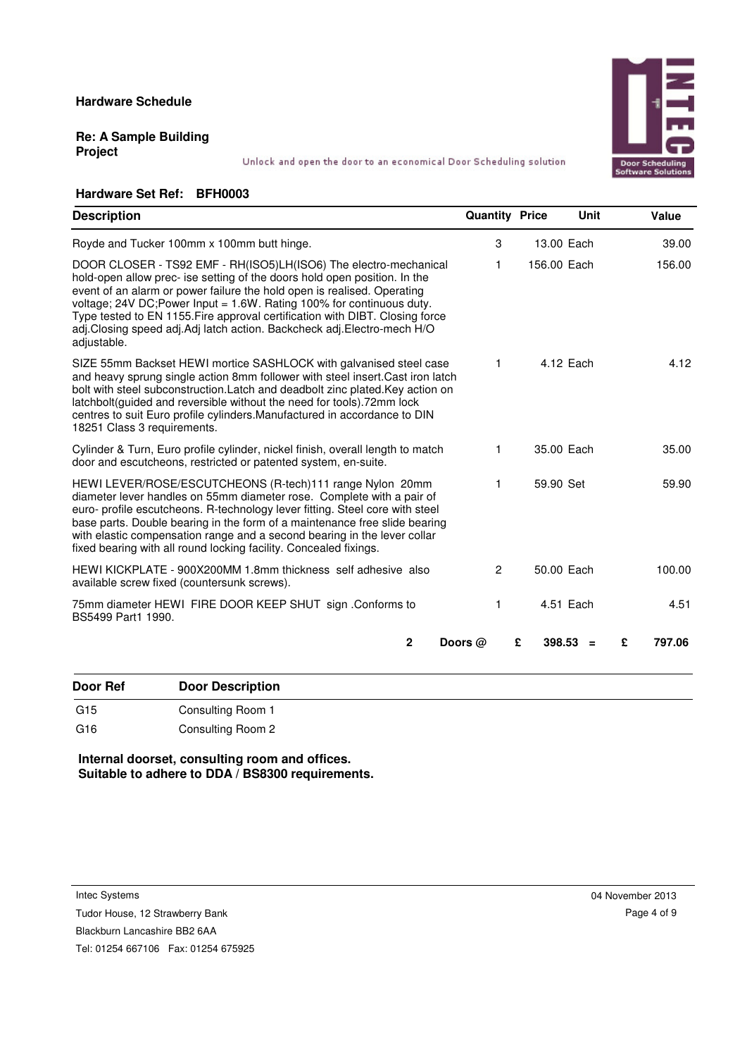# Door Scheduli<br>Software Soluti

# **Re: A Sample Building Project**

Unlock and open the door to an economical Door Scheduling solution

## **Hardware Set Ref: BFH0003**

| <b>Description</b>                                                                                                                                                                                                                                                                                                                                                                                                                                                         | <b>Quantity Price</b> |             | <b>Unit</b> |   | Value  |
|----------------------------------------------------------------------------------------------------------------------------------------------------------------------------------------------------------------------------------------------------------------------------------------------------------------------------------------------------------------------------------------------------------------------------------------------------------------------------|-----------------------|-------------|-------------|---|--------|
| Royde and Tucker 100mm x 100mm butt hinge.                                                                                                                                                                                                                                                                                                                                                                                                                                 | 3                     | 13.00 Each  |             |   | 39.00  |
| DOOR CLOSER - TS92 EMF - RH(ISO5)LH(ISO6) The electro-mechanical<br>hold-open allow prec- ise setting of the doors hold open position. In the<br>event of an alarm or power failure the hold open is realised. Operating<br>voltage; 24V DC; Power Input = 1.6W. Rating 100% for continuous duty.<br>Type tested to EN 1155. Fire approval certification with DIBT. Closing force<br>adj.Closing speed adj.Adj latch action. Backcheck adj.Electro-mech H/O<br>adjustable. | $\mathbf{1}$          | 156.00 Each |             |   | 156.00 |
| SIZE 55mm Backset HEWI mortice SASHLOCK with galvanised steel case<br>and heavy sprung single action 8mm follower with steel insert. Cast iron latch<br>bolt with steel subconstruction. Latch and deadbolt zinc plated. Key action on<br>latchbolt(guided and reversible without the need for tools).72mm lock<br>centres to suit Euro profile cylinders. Manufactured in accordance to DIN<br>18251 Class 3 requirements.                                                | $\mathbf{1}$          |             | 4.12 Each   |   | 4.12   |
| Cylinder & Turn, Euro profile cylinder, nickel finish, overall length to match<br>door and escutcheons, restricted or patented system, en-suite.                                                                                                                                                                                                                                                                                                                           | 1                     | 35.00 Each  |             |   | 35.00  |
| HEWI LEVER/ROSE/ESCUTCHEONS (R-tech)111 range Nylon 20mm<br>diameter lever handles on 55mm diameter rose. Complete with a pair of<br>euro- profile escutcheons. R-technology lever fitting. Steel core with steel<br>base parts. Double bearing in the form of a maintenance free slide bearing<br>with elastic compensation range and a second bearing in the lever collar<br>fixed bearing with all round locking facility. Concealed fixings.                           | $\mathbf{1}$          | 59.90 Set   |             |   | 59.90  |
| HEWI KICKPLATE - 900X200MM 1.8mm thickness self adhesive also<br>available screw fixed (countersunk screws).                                                                                                                                                                                                                                                                                                                                                               | $\overline{2}$        |             | 50.00 Each  |   | 100.00 |
| 75mm diameter HEWI FIRE DOOR KEEP SHUT sign .Conforms to<br>BS5499 Part1 1990.                                                                                                                                                                                                                                                                                                                                                                                             | 1                     |             | 4.51 Each   |   | 4.51   |
| $\mathbf{2}$                                                                                                                                                                                                                                                                                                                                                                                                                                                               | Doors $@$             | £           | $398.53 =$  | £ | 797.06 |
| Door Ref<br><b>Door Description</b>                                                                                                                                                                                                                                                                                                                                                                                                                                        |                       |             |             |   |        |

G15 Consulting Room 1 G16 Consulting Room 2

**Internal doorset, consulting room and offices. Suitable to adhere to DDA / BS8300 requirements.**

Intec Systems

Tudor House, 12 Strawberry Bank

Blackburn Lancashire BB2 6AA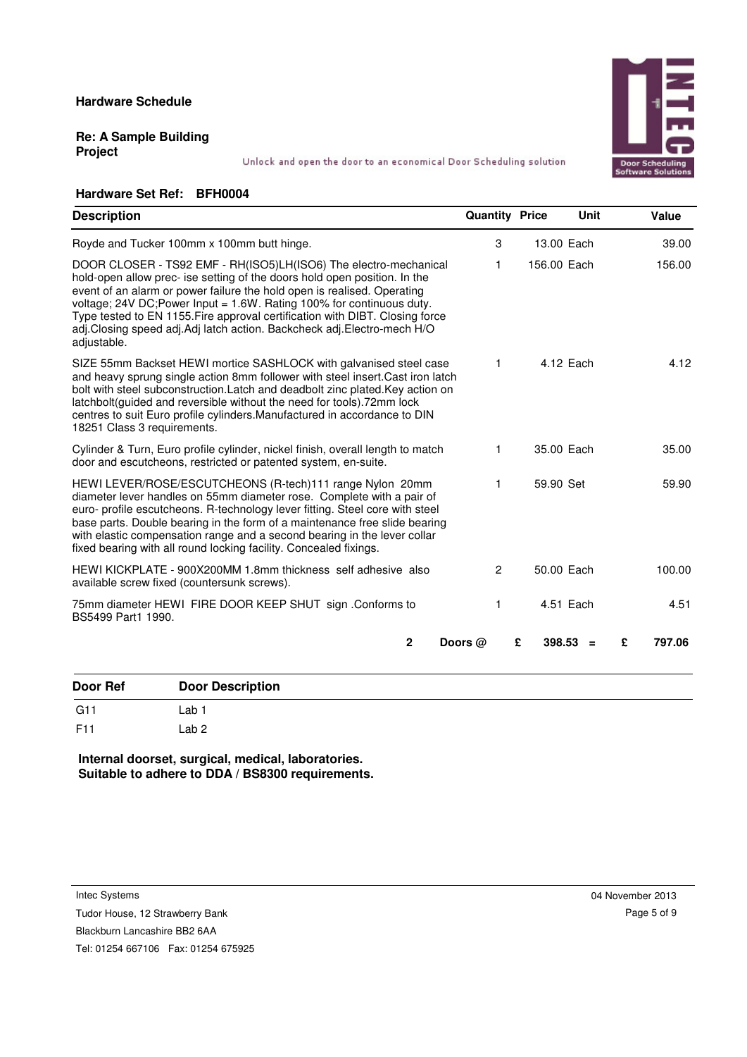# Door Scheduli<br>Software Soluti

# **Re: A Sample Building Project**

Unlock and open the door to an economical Door Scheduling solution

# **Hardware Set Ref: BFH0004**

| <b>Description</b>                                                                                                                                                                                                                                                                                                                                                                                                                                                         | <b>Quantity Price</b> |             | <b>Unit</b> |   | Value  |
|----------------------------------------------------------------------------------------------------------------------------------------------------------------------------------------------------------------------------------------------------------------------------------------------------------------------------------------------------------------------------------------------------------------------------------------------------------------------------|-----------------------|-------------|-------------|---|--------|
| Royde and Tucker 100mm x 100mm butt hinge.                                                                                                                                                                                                                                                                                                                                                                                                                                 | 3                     | 13.00 Each  |             |   | 39.00  |
| DOOR CLOSER - TS92 EMF - RH(ISO5)LH(ISO6) The electro-mechanical<br>hold-open allow prec- ise setting of the doors hold open position. In the<br>event of an alarm or power failure the hold open is realised. Operating<br>voltage; 24V DC; Power Input = 1.6W. Rating 100% for continuous duty.<br>Type tested to EN 1155. Fire approval certification with DIBT. Closing force<br>adj.Closing speed adj.Adj latch action. Backcheck adj.Electro-mech H/O<br>adjustable. | 1.                    | 156.00 Each |             |   | 156.00 |
| SIZE 55mm Backset HEWI mortice SASHLOCK with galvanised steel case<br>and heavy sprung single action 8mm follower with steel insert. Cast iron latch<br>bolt with steel subconstruction. Latch and deadbolt zinc plated. Key action on<br>latchbolt(guided and reversible without the need for tools).72mm lock<br>centres to suit Euro profile cylinders. Manufactured in accordance to DIN<br>18251 Class 3 requirements.                                                | 1                     |             | 4.12 Each   |   | 4.12   |
| Cylinder & Turn, Euro profile cylinder, nickel finish, overall length to match<br>door and escutcheons, restricted or patented system, en-suite.                                                                                                                                                                                                                                                                                                                           | $\mathbf{1}$          | 35.00 Each  |             |   | 35.00  |
| HEWI LEVER/ROSE/ESCUTCHEONS (R-tech)111 range Nylon 20mm<br>diameter lever handles on 55mm diameter rose. Complete with a pair of<br>euro- profile escutcheons. R-technology lever fitting. Steel core with steel<br>base parts. Double bearing in the form of a maintenance free slide bearing<br>with elastic compensation range and a second bearing in the lever collar<br>fixed bearing with all round locking facility. Concealed fixings.                           | 1                     | 59.90 Set   |             |   | 59.90  |
| HEWI KICKPLATE - 900X200MM 1.8mm thickness self adhesive also<br>available screw fixed (countersunk screws).                                                                                                                                                                                                                                                                                                                                                               | $\overline{2}$        | 50.00 Each  |             |   | 100.00 |
| 75mm diameter HEWI FIRE DOOR KEEP SHUT sign .Conforms to<br>BS5499 Part1 1990.                                                                                                                                                                                                                                                                                                                                                                                             | 1                     |             | 4.51 Each   |   | 4.51   |
| $\overline{2}$                                                                                                                                                                                                                                                                                                                                                                                                                                                             | Doors @               | £           | $398.53 =$  | £ | 797.06 |
| <b>Door Ref</b><br><b>Door Description</b>                                                                                                                                                                                                                                                                                                                                                                                                                                 |                       |             |             |   |        |

G11 Lab 1 F11 Lab 2

**Internal doorset, surgical, medical, laboratories. Suitable to adhere to DDA / BS8300 requirements.**

Intec Systems

Tudor House, 12 Strawberry Bank

Blackburn Lancashire BB2 6AA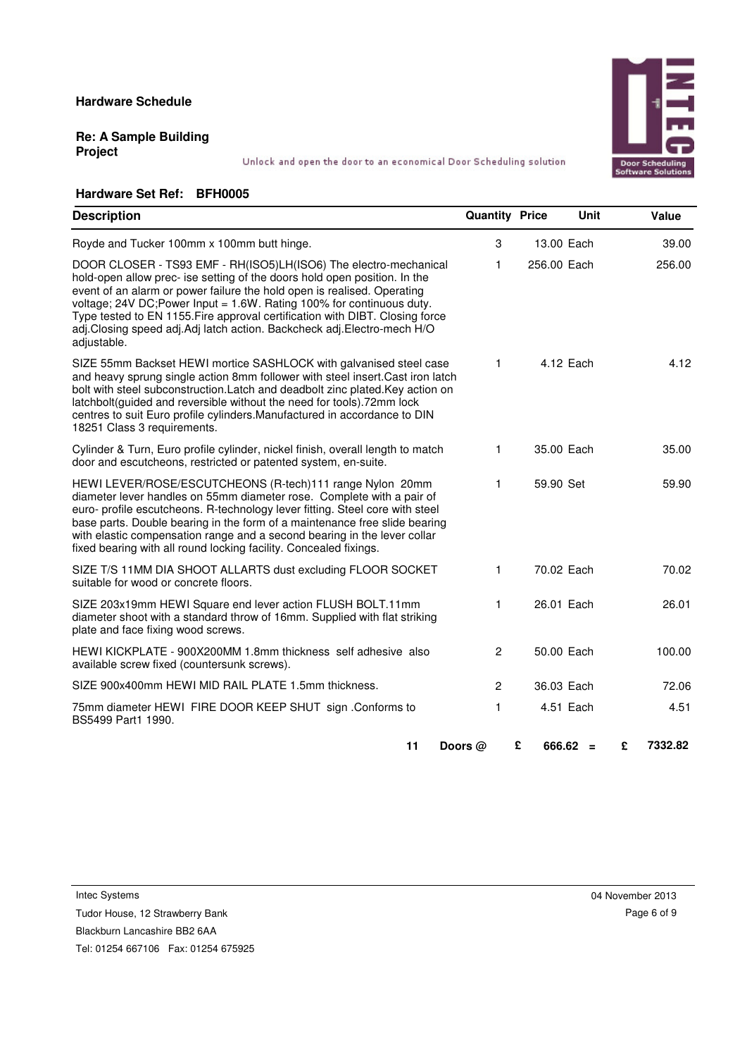# Door Scheduling<br>Software Solution

# **Re: A Sample Building Project**

Unlock and open the door to an economical Door Scheduling solution

#### **Hardware Set Ref: BFH0005**

| <b>Description</b>                                                                                                                                                                                                                                                                                                                                                                                                                                                         | <b>Quantity Price</b> |             | Unit       |   | Value   |
|----------------------------------------------------------------------------------------------------------------------------------------------------------------------------------------------------------------------------------------------------------------------------------------------------------------------------------------------------------------------------------------------------------------------------------------------------------------------------|-----------------------|-------------|------------|---|---------|
| Royde and Tucker 100mm x 100mm butt hinge.                                                                                                                                                                                                                                                                                                                                                                                                                                 | 3                     |             | 13.00 Each |   | 39.00   |
| DOOR CLOSER - TS93 EMF - RH(ISO5)LH(ISO6) The electro-mechanical<br>hold-open allow prec- ise setting of the doors hold open position. In the<br>event of an alarm or power failure the hold open is realised. Operating<br>voltage; 24V DC; Power Input = 1.6W. Rating 100% for continuous duty.<br>Type tested to EN 1155. Fire approval certification with DIBT. Closing force<br>adj.Closing speed adj.Adj latch action. Backcheck adj.Electro-mech H/O<br>adjustable. | 1                     | 256.00 Each |            |   | 256.00  |
| SIZE 55mm Backset HEWI mortice SASHLOCK with galvanised steel case<br>and heavy sprung single action 8mm follower with steel insert. Cast iron latch<br>bolt with steel subconstruction. Latch and deadbolt zinc plated. Key action on<br>latchbolt(guided and reversible without the need for tools).72mm lock<br>centres to suit Euro profile cylinders. Manufactured in accordance to DIN<br>18251 Class 3 requirements.                                                | 1                     |             | 4.12 Each  |   | 4.12    |
| Cylinder & Turn, Euro profile cylinder, nickel finish, overall length to match<br>door and escutcheons, restricted or patented system, en-suite.                                                                                                                                                                                                                                                                                                                           | 1                     |             | 35.00 Each |   | 35.00   |
| HEWI LEVER/ROSE/ESCUTCHEONS (R-tech)111 range Nylon 20mm<br>diameter lever handles on 55mm diameter rose. Complete with a pair of<br>euro- profile escutcheons. R-technology lever fitting. Steel core with steel<br>base parts. Double bearing in the form of a maintenance free slide bearing<br>with elastic compensation range and a second bearing in the lever collar<br>fixed bearing with all round locking facility. Concealed fixings.                           | 1                     | 59.90 Set   |            |   | 59.90   |
| SIZE T/S 11MM DIA SHOOT ALLARTS dust excluding FLOOR SOCKET<br>suitable for wood or concrete floors.                                                                                                                                                                                                                                                                                                                                                                       | 1                     |             | 70.02 Each |   | 70.02   |
| SIZE 203x19mm HEWI Square end lever action FLUSH BOLT.11mm<br>diameter shoot with a standard throw of 16mm. Supplied with flat striking<br>plate and face fixing wood screws.                                                                                                                                                                                                                                                                                              | $\mathbf{1}$          |             | 26.01 Each |   | 26.01   |
| HEWI KICKPLATE - 900X200MM 1.8mm thickness self adhesive also<br>available screw fixed (countersunk screws).                                                                                                                                                                                                                                                                                                                                                               | $\overline{2}$        |             | 50.00 Each |   | 100.00  |
| SIZE 900x400mm HEWI MID RAIL PLATE 1.5mm thickness.                                                                                                                                                                                                                                                                                                                                                                                                                        | $\overline{2}$        |             | 36.03 Each |   | 72.06   |
| 75mm diameter HEWI FIRE DOOR KEEP SHUT sign .Conforms to<br>BS5499 Part1 1990.                                                                                                                                                                                                                                                                                                                                                                                             | 1                     |             | 4.51 Each  |   | 4.51    |
| 11                                                                                                                                                                                                                                                                                                                                                                                                                                                                         | Doors @               | £           | $666.62 =$ | £ | 7332.82 |

Intec Systems

Tudor House, 12 Strawberry Bank

Blackburn Lancashire BB2 6AA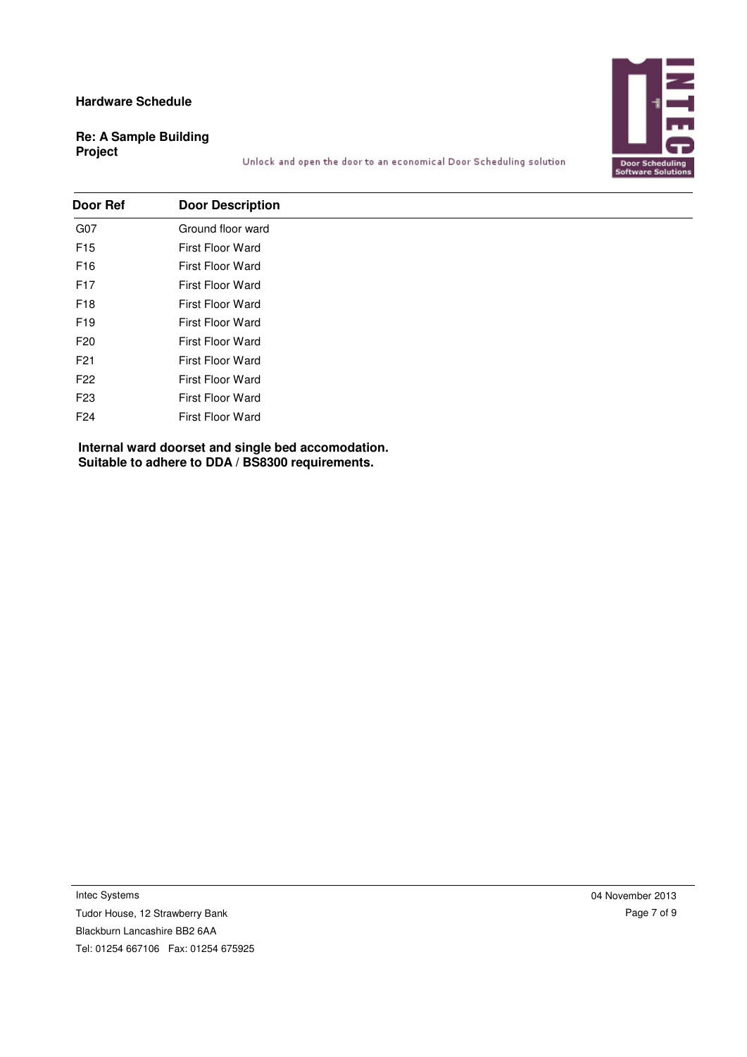

# **Re: A Sample Building Project**

Unlock and open the door to an economical Door Scheduling solution

| Door Ref        | <b>Door Description</b> |
|-----------------|-------------------------|
| G07             | Ground floor ward       |
| F <sub>15</sub> | First Floor Ward        |
| F <sub>16</sub> | First Floor Ward        |
| F17             | First Floor Ward        |
| F <sub>18</sub> | First Floor Ward        |
| F <sub>19</sub> | First Floor Ward        |
| F <sub>20</sub> | First Floor Ward        |
| F21             | First Floor Ward        |
| F <sub>22</sub> | First Floor Ward        |
| F <sub>23</sub> | First Floor Ward        |
| F24             | First Floor Ward        |

**Internal ward doorset and single bed accomodation. Suitable to adhere to DDA / BS8300 requirements.**

Intec Systems

Tudor House, 12 Strawberry Bank Blackburn Lancashire BB2 6AA Tel: 01254 667106 Fax: 01254 675925 04 November 2013 Page 7 of 9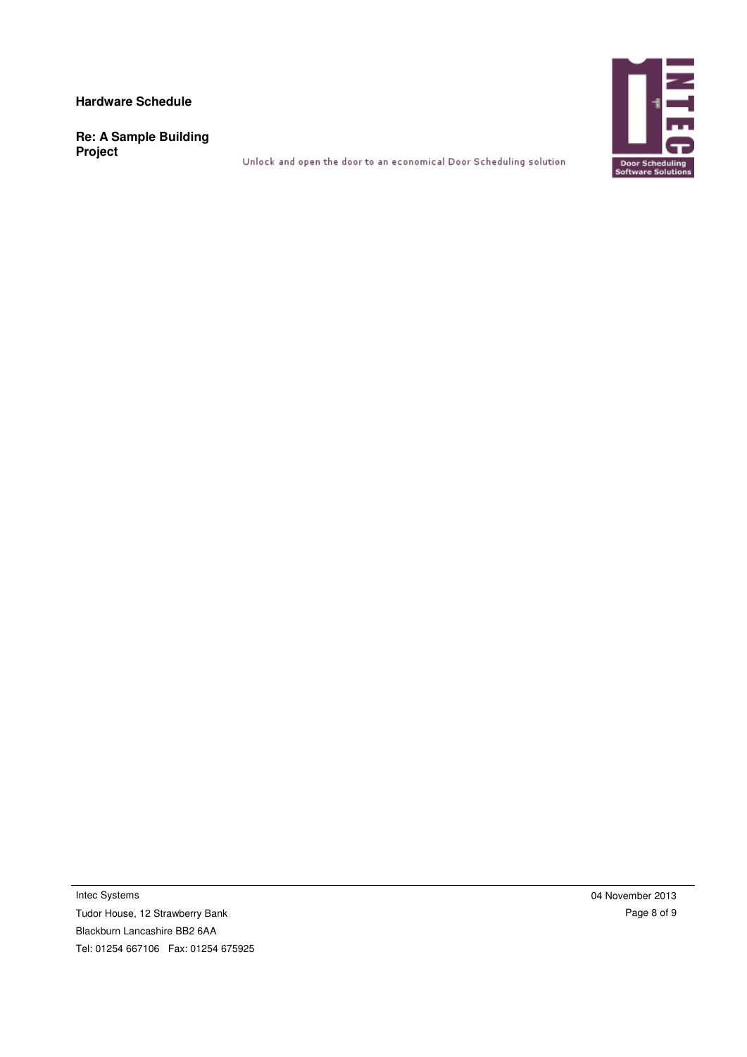**Re: A Sample Building Project**

Unlock and open the door to an economical Door Scheduling solution



Intec Systems Tudor House, 12 Strawberry Bank Blackburn Lancashire BB2 6AA

Tel: 01254 667106 Fax: 01254 675925

04 November 2013 Page 8 of 9